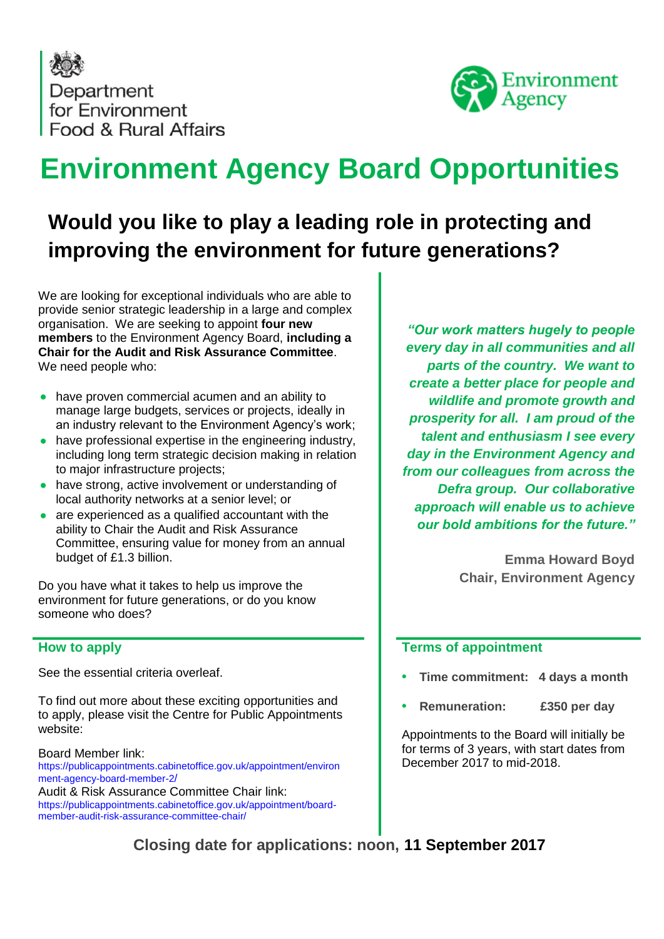Department for Environment Food & Rural Affairs



# **Environment Agency Board Opportunities**

## **Would you like to play a leading role in protecting and improving the environment for future generations?**

We are looking for exceptional individuals who are able to provide senior strategic leadership in a large and complex organisation. We are seeking to appoint **four new members** to the Environment Agency Board, **including a Chair for the Audit and Risk Assurance Committee**. We need people who:

- have proven commercial acumen and an ability to manage large budgets, services or projects, ideally in an industry relevant to the Environment Agency's work;
- have professional expertise in the engineering industry, including long term strategic decision making in relation to major infrastructure projects;
- have strong, active involvement or understanding of local authority networks at a senior level; or
- are experienced as a qualified accountant with the ability to Chair the Audit and Risk Assurance Committee, ensuring value for money from an annual budget of £1.3 billion.

Do you have what it takes to help us improve the environment for future generations, or do you know someone who does?

#### **How to apply**

See the essential criteria overleaf.

To find out more about these exciting opportunities and to apply, please visit the Centre for Public Appointments website:

#### Board Member link:

https://publicappointments.cabinetoffice.gov.uk/appointment/environ ment-agency-board-member-2/

Audit & Risk Assurance Committee Chair link: https://publicappointments.cabinetoffice.gov.uk/appointment/boardmember-audit-risk-assurance-committee-chair/

*"Our work matters hugely to people every day in all communities and all parts of the country. We want to create a better place for people and wildlife and promote growth and prosperity for all. I am proud of the talent and enthusiasm I see every day in the Environment Agency and from our colleagues from across the Defra group. Our collaborative approach will enable us to achieve our bold ambitions for the future."*

> **Emma Howard Boyd Chair, Environment Agency**

#### **Terms of appointment**

- **• Time commitment: 4 days a month**
- **• Remuneration: £350 per day**

Appointments to the Board will initially be for terms of 3 years, with start dates from December 2017 to mid-2018.

**Closing date for applications: noon, 11 September 2017**